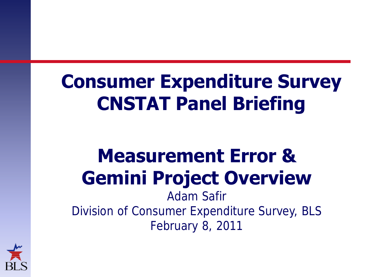# **Consumer Expenditure Survey CNSTAT Panel Briefing**

# **Measurement Error & Gemini Project Overview**

Adam Safir Division of Consumer Expenditure Survey, BLS February 8, 2011

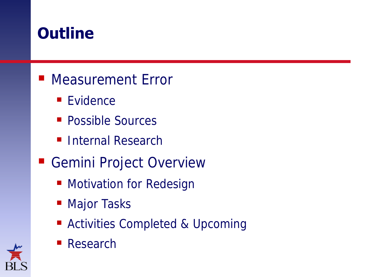### **Outline**

#### ■ Measurement Error

- Evidence
- Possible Sources
- **Internal Research**
- Gemini Project Overview
	- **Motivation for Redesign**
	- Major Tasks
	- Activities Completed & Upcoming



Research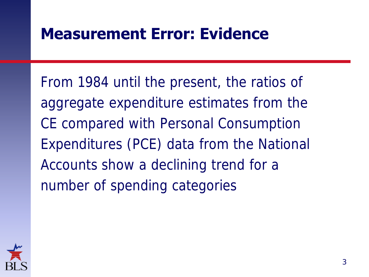### **Measurement Error: Evidence**

From 1984 until the present, the ratios of aggregate expenditure estimates from the CE compared with Personal Consumption Expenditures (PCE) data from the National Accounts show a declining trend for a number of spending categories

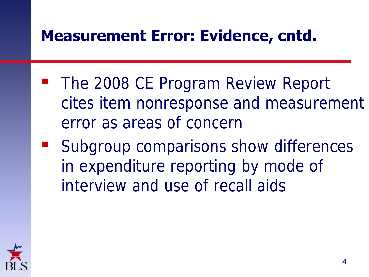### **Measurement Error: Evidence, cntd.**

- The 2008 CE Program Review Report cites item nonresponse and measurement error as areas of concern
- Subgroup comparisons show differences in expenditure reporting by mode of interview and use of recall aids

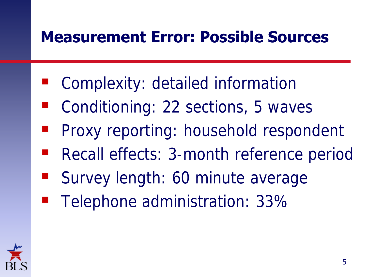### **Measurement Error: Possible Sources**

- **Complexity: detailed information**
- Conditioning: 22 sections, 5 waves
- Proxy reporting: household respondent
- Recall effects: 3-month reference period
- Survey length: 60 minute average
- Telephone administration: 33%

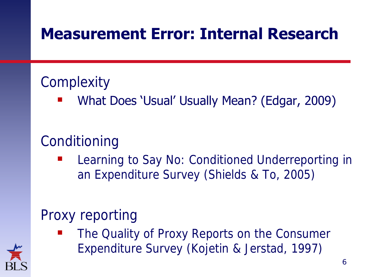### **Measurement Error: Internal Research**

#### **Complexity**

What Does 'Usual' Usually Mean? (Edgar, 2009)

### Conditioning

 Learning to Say No: Conditioned Underreporting in an Expenditure Survey (Shields & To, 2005)

### Proxy reporting

 The Quality of Proxy Reports on the Consumer Expenditure Survey (Kojetin & Jerstad, 1997)

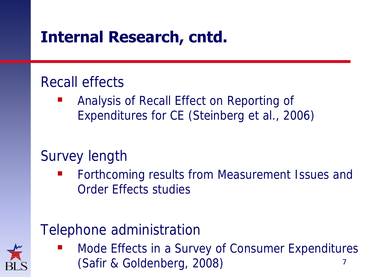### **Internal Research, cntd.**

#### Recall effects

 Analysis of Recall Effect on Reporting of Expenditures for CE (Steinberg et al., 2006)

#### Survey length

 Forthcoming results from Measurement Issues and Order Effects studies

#### Telephone administration



 Mode Effects in a Survey of Consumer Expenditures (Safir & Goldenberg, 2008) <sup>7</sup>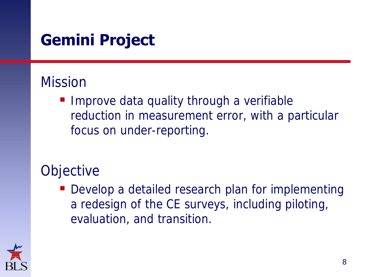## **Gemini Project**

#### Mission

**Improve data quality through a verifiable** reduction in measurement error, with a particular focus on under-reporting.

#### **Objective**

Develop a detailed research plan for implementing a redesign of the CE surveys, including piloting, evaluation, and transition.

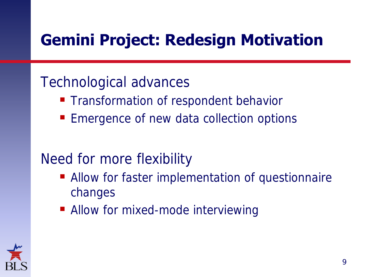# **Gemini Project: Redesign Motivation**

#### Technological advances

- **Transformation of respondent behavior**
- **Exergence of new data collection options**

#### Need for more flexibility

- **Allow for faster implementation of questionnaire** changes
- Allow for mixed-mode interviewing

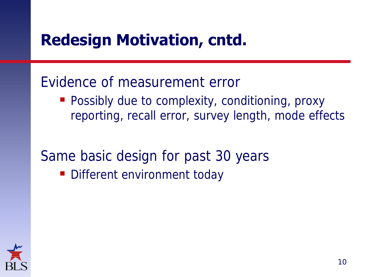### **Redesign Motivation, cntd.**

#### Evidence of measurement error

**Possibly due to complexity, conditioning, proxy** reporting, recall error, survey length, mode effects

Same basic design for past 30 years

Different environment today

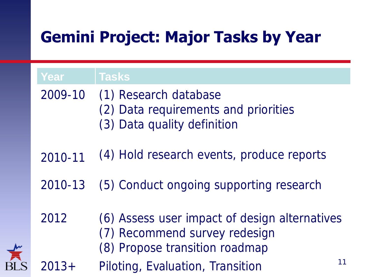# **Gemini Project: Major Tasks by Year**

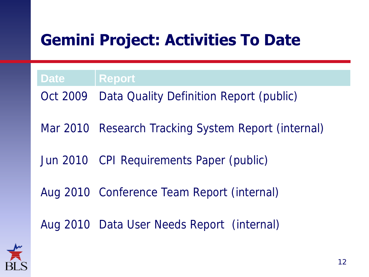# **Gemini Project: Activities To Date**

**Date Report** Oct 2009 Data Quality Definition Report (public) Mar 2010 Research Tracking System Report (internal) Jun 2010 CPI Requirements Paper (public) Aug 2010 Conference Team Report (internal) Aug 2010 Data User Needs Report (internal)

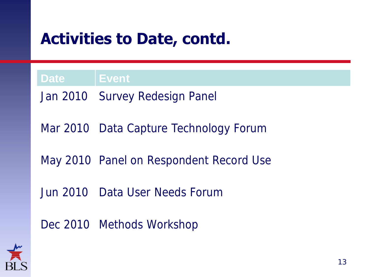### **Activities to Date, contd.**

**Date Event**

Jan 2010 Survey Redesign Panel Mar 2010 Data Capture Technology Forum May 2010 Panel on Respondent Record Use Jun 2010 Data User Needs Forum Dec 2010 Methods Workshop

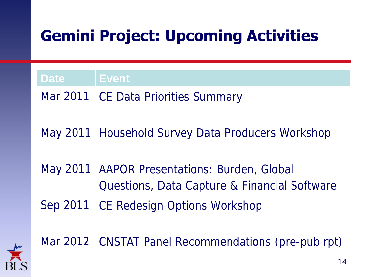# **Gemini Project: Upcoming Activities**

**Date Event**

Mar 2011 CE Data Priorities Summary

May 2011 Household Survey Data Producers Workshop

May 2011 AAPOR Presentations: Burden, Global Questions, Data Capture & Financial Software Sep 2011 CE Redesign Options Workshop



Mar 2012 CNSTAT Panel Recommendations (pre-pub rpt)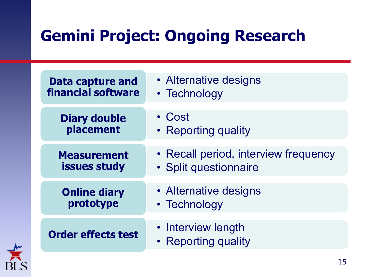# **Gemini Project: Ongoing Research**

| <b>Data capture and</b>   | • Alternative designs                     |
|---------------------------|-------------------------------------------|
| financial software        | • Technology                              |
| <b>Diary double</b>       | • Cost                                    |
| placement                 | • Reporting quality                       |
| <b>Measurement</b>        | • Recall period, interview frequency      |
| issues study              | · Split questionnaire                     |
| <b>Online diary</b>       | • Alternative designs                     |
| prototype                 | • Technology                              |
| <b>Order effects test</b> | • Interview length<br>• Reporting quality |

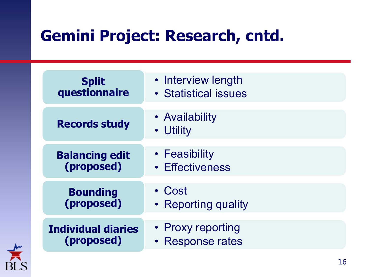## **Gemini Project: Research, cntd.**

| <b>Split</b>              | • Interview length          |
|---------------------------|-----------------------------|
| questionnaire             | • Statistical issues        |
| <b>Records study</b>      | • Availability<br>• Utility |
| <b>Balancing edit</b>     | • Feasibility               |
| (proposed)                | • Effectiveness             |
| <b>Bounding</b>           | • Cost                      |
| (proposed)                | • Reporting quality         |
| <b>Individual diaries</b> | • Proxy reporting           |
| (proposed)                | • Response rates            |